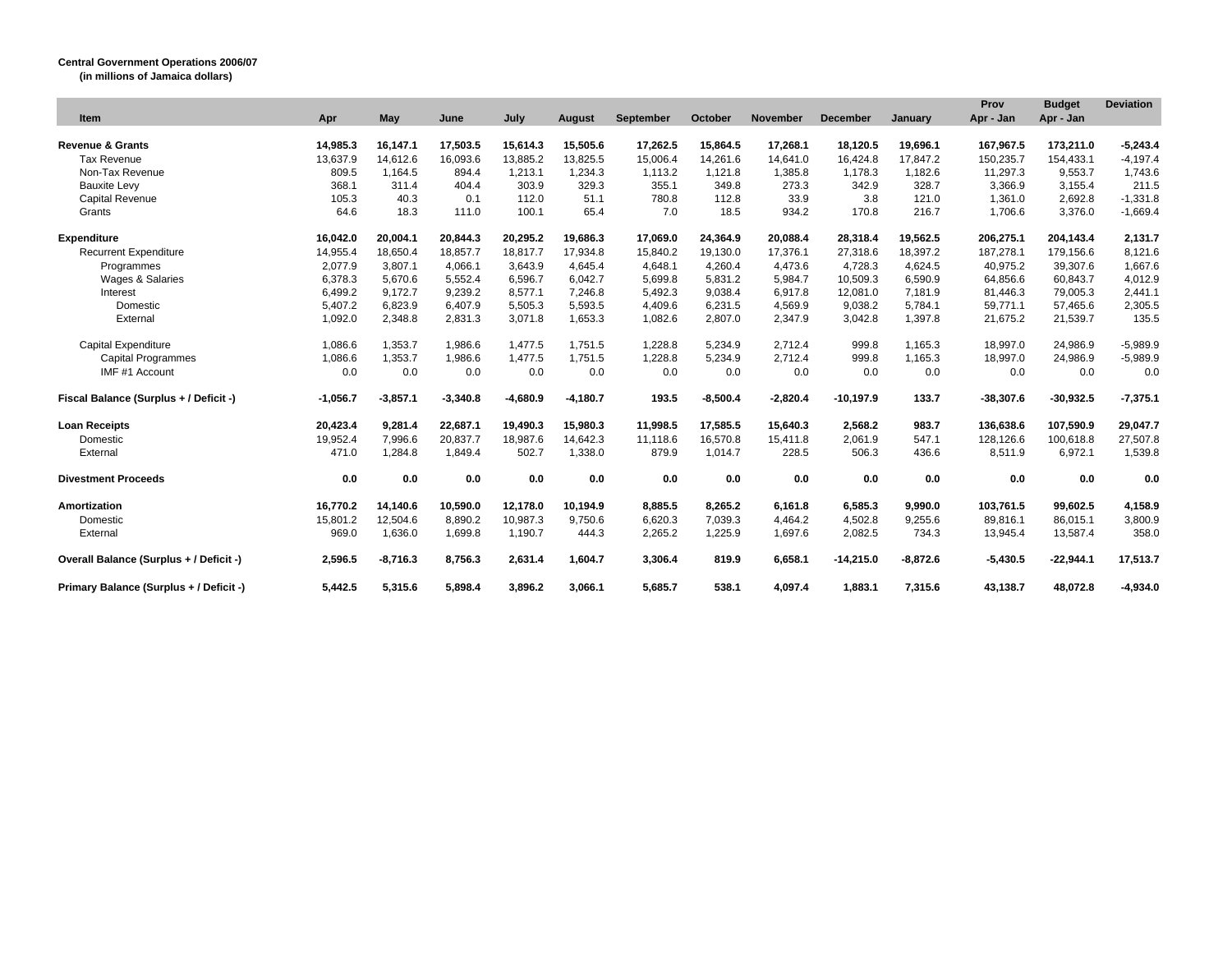## **Central Government Operations 2006/07**

**(in millions of Jamaica dollars)**

| <b>Item</b>                             | Apr        | May        | June       | July       | <b>August</b> | <b>September</b> | October    | <b>November</b> | <b>December</b> | January    | Prov<br>Apr - Jan | <b>Budget</b><br>Apr - Jan | <b>Deviation</b> |
|-----------------------------------------|------------|------------|------------|------------|---------------|------------------|------------|-----------------|-----------------|------------|-------------------|----------------------------|------------------|
| <b>Revenue &amp; Grants</b>             | 14,985.3   | 16,147.1   | 17,503.5   | 15,614.3   | 15,505.6      | 17,262.5         | 15,864.5   | 17,268.1        | 18,120.5        | 19,696.1   | 167,967.5         | 173,211.0                  | $-5,243.4$       |
| <b>Tax Revenue</b>                      | 13,637.9   | 14,612.6   | 16,093.6   | 13,885.2   | 13,825.5      | 15,006.4         | 14,261.6   | 14,641.0        | 16,424.8        | 17,847.2   | 150,235.7         | 154,433.1                  | $-4,197.4$       |
| Non-Tax Revenue                         | 809.5      | 1,164.5    | 894.4      | 1,213.1    | 1,234.3       | 1,113.2          | 1,121.8    | 1,385.8         | 1,178.3         | 1,182.6    | 11.297.3          | 9,553.7                    | 1,743.6          |
| <b>Bauxite Levy</b>                     | 368.1      | 311.4      | 404.4      | 303.9      | 329.3         | 355.1            | 349.8      | 273.3           | 342.9           | 328.7      | 3,366.9           | 3,155.4                    | 211.5            |
| Capital Revenue                         | 105.3      | 40.3       | 0.1        | 112.0      | 51.1          | 780.8            | 112.8      | 33.9            | 3.8             | 121.0      | 1,361.0           | 2,692.8                    | $-1,331.8$       |
| Grants                                  | 64.6       | 18.3       | 111.0      | 100.1      | 65.4          | 7.0              | 18.5       | 934.2           | 170.8           | 216.7      | 1,706.6           | 3,376.0                    | $-1,669.4$       |
| <b>Expenditure</b>                      | 16,042.0   | 20,004.1   | 20,844.3   | 20,295.2   | 19,686.3      | 17,069.0         | 24,364.9   | 20,088.4        | 28,318.4        | 19,562.5   | 206,275.1         | 204,143.4                  | 2,131.7          |
| <b>Recurrent Expenditure</b>            | 14,955.4   | 18,650.4   | 18,857.7   | 18,817.7   | 17,934.8      | 15,840.2         | 19,130.0   | 17,376.1        | 27,318.6        | 18,397.2   | 187,278.1         | 179,156.6                  | 8,121.6          |
| Programmes                              | 2,077.9    | 3,807.1    | 4.066.1    | 3.643.9    | 4.645.4       | 4,648.1          | 4,260.4    | 4,473.6         | 4.728.3         | 4,624.5    | 40.975.2          | 39,307.6                   | 1,667.6          |
| <b>Wages &amp; Salaries</b>             | 6,378.3    | 5,670.6    | 5,552.4    | 6,596.7    | 6,042.7       | 5,699.8          | 5,831.2    | 5,984.7         | 10,509.3        | 6,590.9    | 64,856.6          | 60,843.7                   | 4,012.9          |
| Interest                                | 6.499.2    | 9,172.7    | 9,239.2    | 8,577.1    | 7.246.8       | 5,492.3          | 9,038.4    | 6,917.8         | 12,081.0        | 7,181.9    | 81,446.3          | 79,005.3                   | 2,441.1          |
| Domestic                                | 5,407.2    | 6,823.9    | 6,407.9    | 5,505.3    | 5,593.5       | 4,409.6          | 6,231.5    | 4,569.9         | 9,038.2         | 5,784.1    | 59,771.1          | 57,465.6                   | 2,305.5          |
| External                                | 1,092.0    | 2,348.8    | 2,831.3    | 3,071.8    | 1,653.3       | 1,082.6          | 2,807.0    | 2,347.9         | 3,042.8         | 1,397.8    | 21,675.2          | 21,539.7                   | 135.5            |
| <b>Capital Expenditure</b>              | 1,086.6    | 1.353.7    | 1.986.6    | 1.477.5    | 1.751.5       | 1,228.8          | 5,234.9    | 2.712.4         | 999.8           | 1.165.3    | 18,997.0          | 24,986.9                   | $-5,989.9$       |
| <b>Capital Programmes</b>               | 1,086.6    | 1,353.7    | 1,986.6    | 1,477.5    | 1,751.5       | 1,228.8          | 5,234.9    | 2,712.4         | 999.8           | 1,165.3    | 18,997.0          | 24,986.9                   | $-5,989.9$       |
| IMF #1 Account                          | 0.0        | 0.0        | 0.0        | 0.0        | 0.0           | 0.0              | 0.0        | 0.0             | 0.0             | 0.0        | 0.0               | 0.0                        | 0.0              |
| Fiscal Balance (Surplus + / Deficit -)  | $-1,056.7$ | $-3,857.1$ | $-3,340.8$ | $-4,680.9$ | $-4.180.7$    | 193.5            | $-8,500.4$ | $-2,820.4$      | $-10.197.9$     | 133.7      | $-38,307.6$       | $-30,932.5$                | $-7,375.1$       |
| <b>Loan Receipts</b>                    | 20,423.4   | 9,281.4    | 22,687.1   | 19,490.3   | 15,980.3      | 11,998.5         | 17,585.5   | 15,640.3        | 2,568.2         | 983.7      | 136,638.6         | 107,590.9                  | 29,047.7         |
| Domestic                                | 19.952.4   | 7,996.6    | 20,837.7   | 18.987.6   | 14,642.3      | 11,118.6         | 16,570.8   | 15,411.8        | 2,061.9         | 547.1      | 128,126.6         | 100,618.8                  | 27,507.8         |
| External                                | 471.0      | 1,284.8    | 1,849.4    | 502.7      | 1,338.0       | 879.9            | 1,014.7    | 228.5           | 506.3           | 436.6      | 8,511.9           | 6,972.1                    | 1,539.8          |
| <b>Divestment Proceeds</b>              | 0.0        | 0.0        | 0.0        | 0.0        | 0.0           | 0.0              | 0.0        | 0.0             | 0.0             | 0.0        | 0.0               | 0.0                        | 0.0              |
| <b>Amortization</b>                     | 16.770.2   | 14.140.6   | 10,590.0   | 12,178.0   | 10,194.9      | 8,885.5          | 8,265.2    | 6.161.8         | 6,585.3         | 9,990.0    | 103,761.5         | 99,602.5                   | 4,158.9          |
| Domestic                                | 15,801.2   | 12,504.6   | 8.890.2    | 10,987.3   | 9,750.6       | 6,620.3          | 7,039.3    | 4.464.2         | 4,502.8         | 9,255.6    | 89.816.1          | 86,015.1                   | 3,800.9          |
| External                                | 969.0      | 1,636.0    | 1,699.8    | 1,190.7    | 444.3         | 2,265.2          | 1,225.9    | 1,697.6         | 2,082.5         | 734.3      | 13,945.4          | 13,587.4                   | 358.0            |
| Overall Balance (Surplus + / Deficit -) | 2,596.5    | $-8,716.3$ | 8,756.3    | 2,631.4    | 1,604.7       | 3,306.4          | 819.9      | 6,658.1         | $-14,215.0$     | $-8,872.6$ | $-5,430.5$        | $-22,944.1$                | 17,513.7         |
| Primary Balance (Surplus + / Deficit -) | 5,442.5    | 5,315.6    | 5.898.4    | 3,896.2    | 3,066.1       | 5,685.7          | 538.1      | 4.097.4         | 1,883.1         | 7,315.6    | 43,138.7          | 48.072.8                   | $-4,934.0$       |